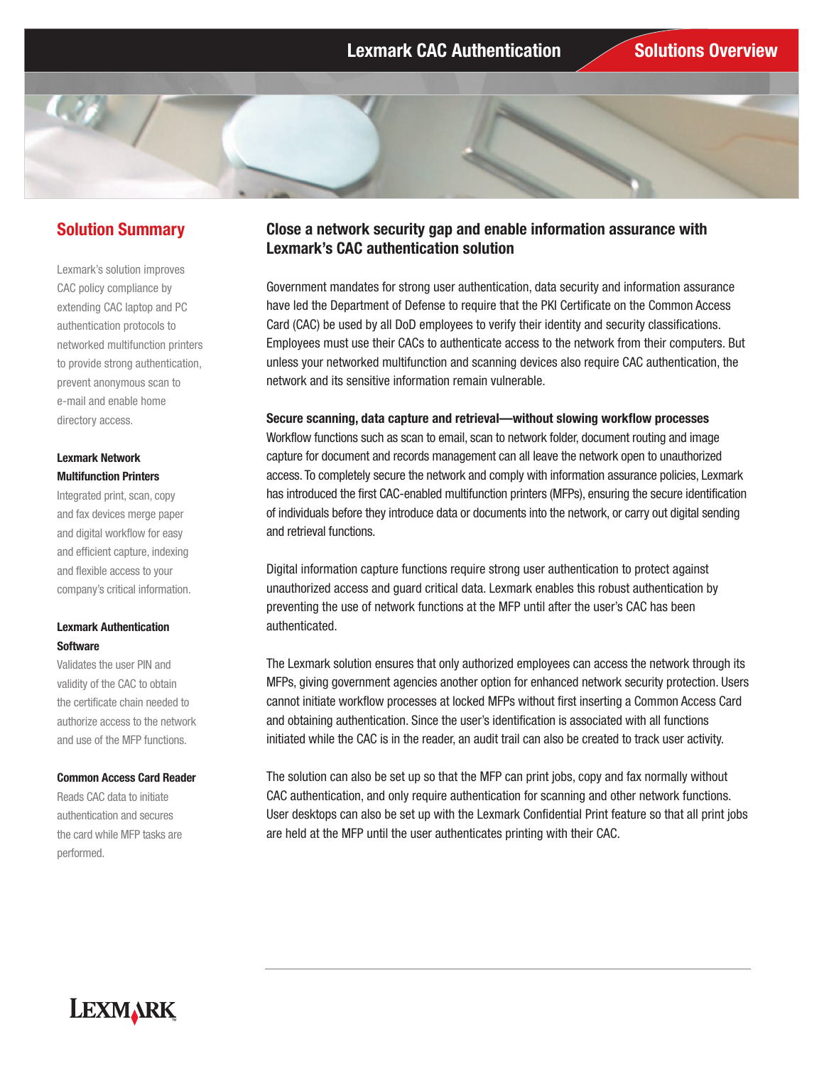# **Solution Summary**

Lexmark's solution improves CAC policy compliance by extending CAC laptop and PC authentication protocols to networked multifunction printers to provide strong authentication, prevent anonymous scan to e-mail and enable home directory access.

## **Lexmark Network Multifunction Printers**

Integrated print, scan, copy and fax devices merge paper and digital workflow for easy and efficient capture, indexing and flexible access to your company's critical information.

## **Lexmark Authentication Software**

Validates the user PIN and validity of the CAC to obtain the certificate chain needed to authorize access to the network and use of the MFP functions.

### **Common Access Card Reader**

Reads CAC data to initiate authentication and secures the card while MFP tasks are performed.

# **Close a network security gap and enable information assurance with Lexmark's CAC authentication solution**

Government mandates for strong user authentication, data security and information assurance have led the Department of Defense to require that the PKI Certificate on the Common Access Card (CAC) be used by all DoD employees to verify their identity and security classifications. Employees must use their CACs to authenticate access to the network from their computers. But unless your networked multifunction and scanning devices also require CAC authentication, the network and its sensitive information remain vulnerable.

### **Secure scanning, data capture and retrieval—without slowing workflow processes**

Workflow functions such as scan to email, scan to network folder, document routing and image capture for document and records management can all leave the network open to unauthorized access. To completely secure the network and comply with information assurance policies, Lexmark has introduced the first CAC-enabled multifunction printers (MFPs), ensuring the secure identification of individuals before they introduce data or documents into the network, or carry out digital sending and retrieval functions.

Digital information capture functions require strong user authentication to protect against unauthorized access and guard critical data. Lexmark enables this robust authentication by preventing the use of network functions at the MFP until after the user's CAC has been authenticated.

The Lexmark solution ensures that only authorized employees can access the network through its MFPs, giving government agencies another option for enhanced network security protection. Users cannot initiate workflow processes at locked MFPs without first inserting a Common Access Card and obtaining authentication. Since the user's identification is associated with all functions initiated while the CAC is in the reader, an audit trail can also be created to track user activity.

The solution can also be set up so that the MFP can print jobs, copy and fax normally without CAC authentication, and only require authentication for scanning and other network functions. User desktops can also be set up with the Lexmark Confidential Print feature so that all print jobs are held at the MFP until the user authenticates printing with their CAC.

# **LEXMARK**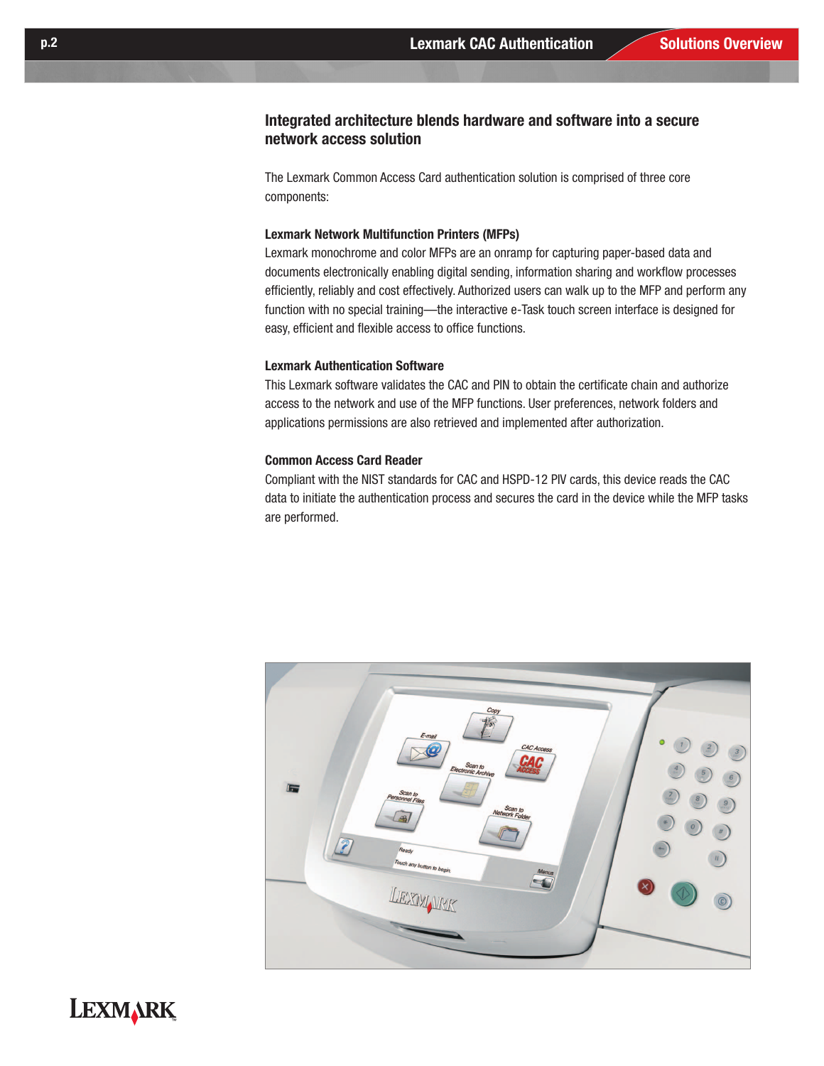# **Integrated architecture blends hardware and software into a secure network access solution**

The Lexmark Common Access Card authentication solution is comprised of three core components:

## **Lexmark Network Multifunction Printers (MFPs)**

Lexmark monochrome and color MFPs are an onramp for capturing paper-based data and documents electronically enabling digital sending, information sharing and workflow processes efficiently, reliably and cost effectively. Authorized users can walk up to the MFP and perform any function with no special training—the interactive e-Task touch screen interface is designed for easy, efficient and flexible access to office functions.

### **Lexmark Authentication Software**

This Lexmark software validates the CAC and PIN to obtain the certificate chain and authorize access to the network and use of the MFP functions. User preferences, network folders and applications permissions are also retrieved and implemented after authorization.

## **Common Access Card Reader**

Compliant with the NIST standards for CAC and HSPD-12 PIV cards, this device reads the CAC data to initiate the authentication process and secures the card in the device while the MFP tasks are performed.



# **LEXMARK**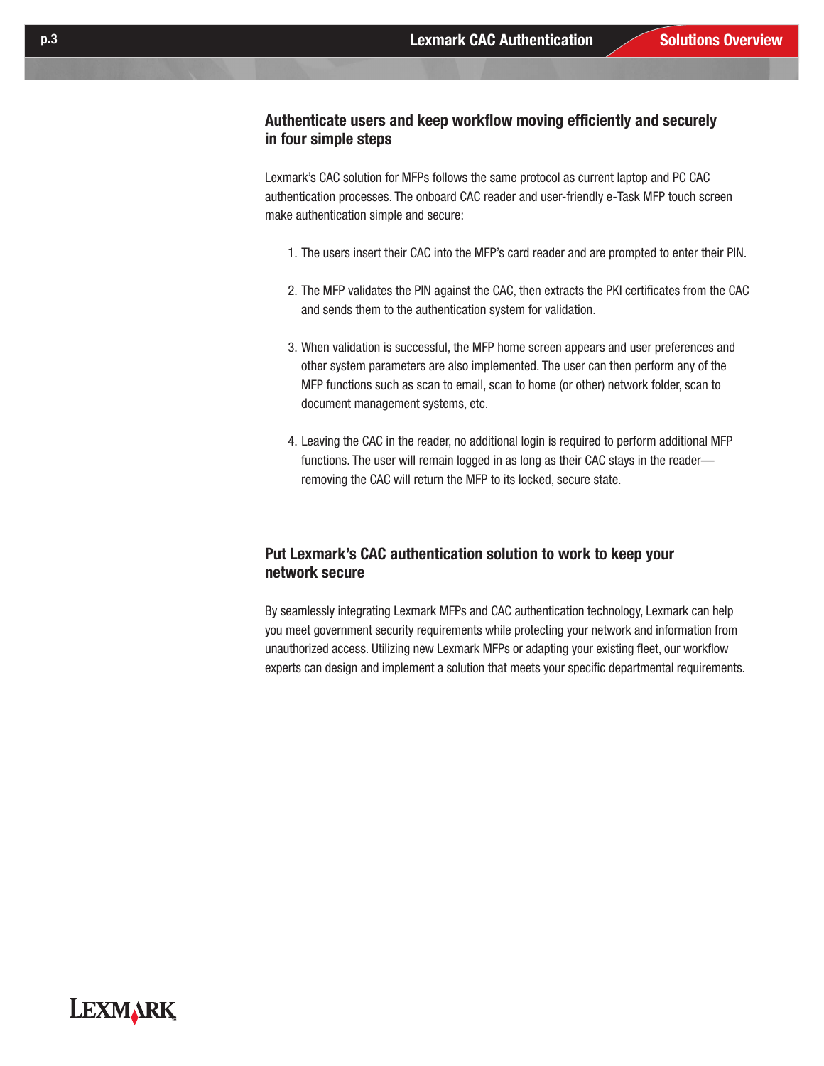# **Authenticate users and keep workflow moving efficiently and securely in four simple steps**

Lexmark's CAC solution for MFPs follows the same protocol as current laptop and PC CAC authentication processes. The onboard CAC reader and user-friendly e-Task MFP touch screen make authentication simple and secure:

- 1. The users insert their CAC into the MFP's card reader and are prompted to enter their PIN.
- 2. The MFP validates the PIN against the CAC, then extracts the PKI certificates from the CAC and sends them to the authentication system for validation.
- 3. When validation is successful, the MFP home screen appears and user preferences and other system parameters are also implemented. The user can then perform any of the MFP functions such as scan to email, scan to home (or other) network folder, scan to document management systems, etc.
- 4. Leaving the CAC in the reader, no additional login is required to perform additional MFP functions. The user will remain logged in as long as their CAC stays in the reader removing the CAC will return the MFP to its locked, secure state.

# **Put Lexmark's CAC authentication solution to work to keep your network secure**

By seamlessly integrating Lexmark MFPs and CAC authentication technology, Lexmark can help you meet government security requirements while protecting your network and information from unauthorized access. Utilizing new Lexmark MFPs or adapting your existing fleet, our workflow experts can design and implement a solution that meets your specific departmental requirements.

# **LEXMARK**